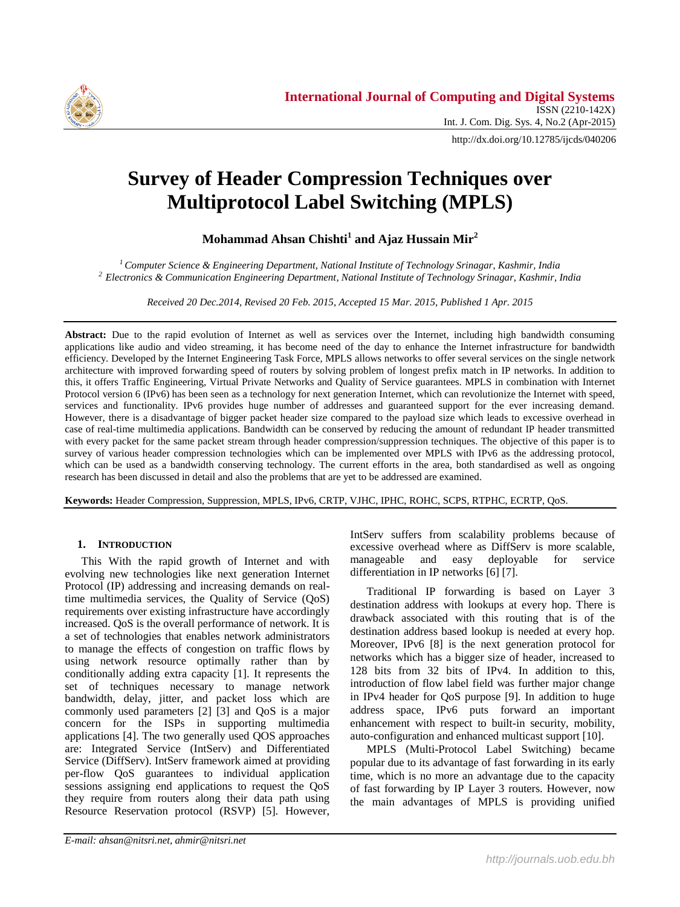

http://dx.doi.org/10.12785/ijcds/040206

# **Survey of Header Compression Techniques over Multiprotocol Label Switching (MPLS)**

**Mohammad Ahsan Chishti<sup>1</sup> and Ajaz Hussain Mir<sup>2</sup>**

*<sup>1</sup>Computer Science & Engineering Department, National Institute of Technology Srinagar, Kashmir, India <sup>2</sup> Electronics & Communication Engineering Department, National Institute of Technology Srinagar, Kashmir, India*

*Received 20 Dec.2014, Revised 20 Feb. 2015, Accepted 15 Mar. 2015, Published 1 Apr. 2015*

**Abstract:** Due to the rapid evolution of Internet as well as services over the Internet, including high bandwidth consuming applications like audio and video streaming, it has become need of the day to enhance the Internet infrastructure for bandwidth efficiency. Developed by the Internet Engineering Task Force, MPLS allows networks to offer several services on the single network architecture with improved forwarding speed of routers by solving problem of longest prefix match in IP networks. In addition to this, it offers Traffic Engineering, Virtual Private Networks and Quality of Service guarantees. MPLS in combination with Internet Protocol version 6 (IPv6) has been seen as a technology for next generation Internet, which can revolutionize the Internet with speed, services and functionality. IPv6 provides huge number of addresses and guaranteed support for the ever increasing demand. However, there is a disadvantage of bigger packet header size compared to the payload size which leads to excessive overhead in case of real-time multimedia applications. Bandwidth can be conserved by reducing the amount of redundant IP header transmitted with every packet for the same packet stream through header compression/suppression techniques. The objective of this paper is to survey of various header compression technologies which can be implemented over MPLS with IPv6 as the addressing protocol, which can be used as a bandwidth conserving technology. The current efforts in the area, both standardised as well as ongoing research has been discussed in detail and also the problems that are yet to be addressed are examined.

**Keywords:** Header Compression, Suppression, MPLS, IPv6, CRTP, VJHC, IPHC, ROHC, SCPS, RTPHC, ECRTP, QoS.

# **1. INTRODUCTION**

This With the rapid growth of Internet and with evolving new technologies like next generation Internet Protocol (IP) addressing and increasing demands on realtime multimedia services, the Quality of Service (QoS) requirements over existing infrastructure have accordingly increased. QoS is the overall performance of network. It is a set of technologies that enables network administrators to manage the effects of congestion on traffic flows by using network resource optimally rather than by conditionally adding extra capacity [1]. It represents the set of techniques necessary to manage network bandwidth, delay, jitter, and packet loss which are commonly used parameters [2] [3] and QoS is a major concern for the ISPs in supporting multimedia applications [4]. The two generally used QOS approaches are: Integrated Service (IntServ) and Differentiated Service (DiffServ). IntServ framework aimed at providing per-flow QoS guarantees to individual application sessions assigning end applications to request the QoS they require from routers along their data path using Resource Reservation protocol (RSVP) [5]. However, IntServ suffers from scalability problems because of excessive overhead where as DiffServ is more scalable, manageable and easy deployable for service differentiation in IP networks [6] [7].

Traditional IP forwarding is based on Layer 3 destination address with lookups at every hop. There is drawback associated with this routing that is of the destination address based lookup is needed at every hop. Moreover, IPv6 [8] is the next generation protocol for networks which has a bigger size of header, increased to 128 bits from 32 bits of IPv4. In addition to this, introduction of flow label field was further major change in IPv4 header for QoS purpose [9]. In addition to huge address space, IPv6 puts forward an important enhancement with respect to built-in security, mobility, auto-configuration and enhanced multicast support [10].

MPLS (Multi-Protocol Label Switching) became popular due to its advantage of fast forwarding in its early time, which is no more an advantage due to the capacity of fast forwarding by IP Layer 3 routers. However, now the main advantages of MPLS is providing unified

*E-mail: ahsan@nitsri.net, ahmir@nitsri.net*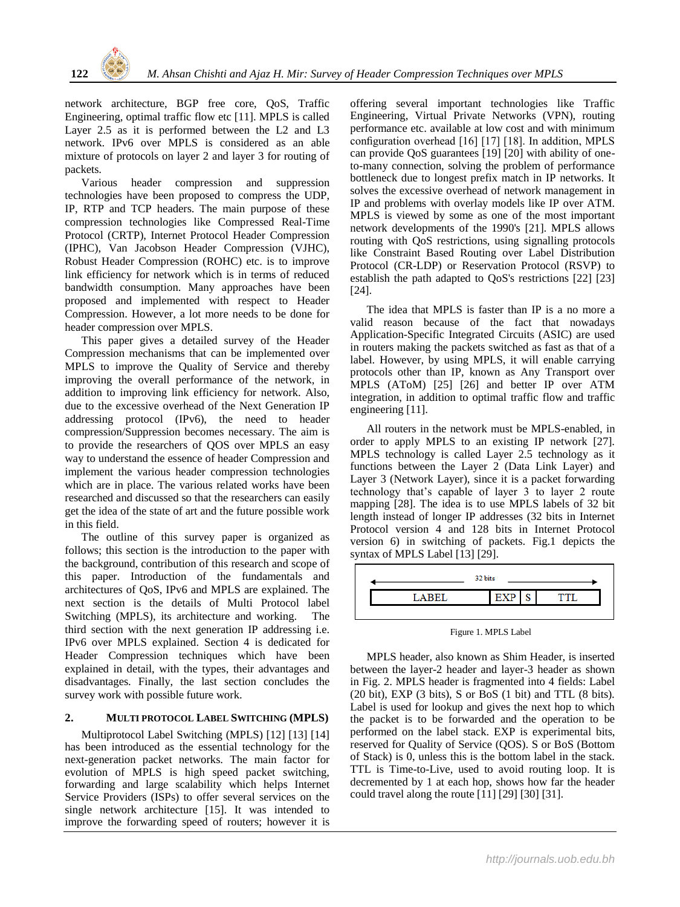network architecture, BGP free core, QoS, Traffic Engineering, optimal traffic flow etc [11]. MPLS is called Layer 2.5 as it is performed between the L2 and L3 network. IPv6 over MPLS is considered as an able mixture of protocols on layer 2 and layer 3 for routing of packets.

Various header compression and suppression technologies have been proposed to compress the UDP, IP, RTP and TCP headers. The main purpose of these compression technologies like Compressed Real-Time Protocol (CRTP), Internet Protocol Header Compression (IPHC), Van Jacobson Header Compression (VJHC), Robust Header Compression (ROHC) etc. is to improve link efficiency for network which is in terms of reduced bandwidth consumption. Many approaches have been proposed and implemented with respect to Header Compression. However, a lot more needs to be done for header compression over MPLS.

This paper gives a detailed survey of the Header Compression mechanisms that can be implemented over MPLS to improve the Quality of Service and thereby improving the overall performance of the network, in addition to improving link efficiency for network. Also, due to the excessive overhead of the Next Generation IP addressing protocol (IPv6), the need to header compression/Suppression becomes necessary. The aim is to provide the researchers of QOS over MPLS an easy way to understand the essence of header Compression and implement the various header compression technologies which are in place. The various related works have been researched and discussed so that the researchers can easily get the idea of the state of art and the future possible work in this field.

The outline of this survey paper is organized as follows; this section is the introduction to the paper with the background, contribution of this research and scope of this paper. Introduction of the fundamentals and architectures of QoS, IPv6 and MPLS are explained. The next section is the details of Multi Protocol label Switching (MPLS), its architecture and working. The third section with the next generation IP addressing i.e. IPv6 over MPLS explained. Section 4 is dedicated for Header Compression techniques which have been explained in detail, with the types, their advantages and disadvantages. Finally, the last section concludes the survey work with possible future work.

## **2. MULTI PROTOCOL LABEL SWITCHING (MPLS)**

Multiprotocol Label Switching (MPLS) [12] [13] [14] has been introduced as the essential technology for the next-generation packet networks. The main factor for evolution of MPLS is high speed packet switching, forwarding and large scalability which helps Internet Service Providers (ISPs) to offer several services on the single network architecture [15]. It was intended to improve the forwarding speed of routers; however it is offering several important technologies like Traffic Engineering, Virtual Private Networks (VPN), routing performance etc. available at low cost and with minimum configuration overhead [16] [17] [18]. In addition, MPLS can provide QoS guarantees [19] [20] with ability of oneto-many connection, solving the problem of performance bottleneck due to longest prefix match in IP networks. It solves the excessive overhead of network management in IP and problems with overlay models like IP over ATM. MPLS is viewed by some as one of the most important network developments of the 1990's [21]. MPLS allows routing with QoS restrictions, using signalling protocols like Constraint Based Routing over Label Distribution Protocol (CR-LDP) or Reservation Protocol (RSVP) to establish the path adapted to QoS's restrictions [22] [23] [24].

The idea that MPLS is faster than IP is a no more a valid reason because of the fact that nowadays Application-Specific Integrated Circuits (ASIC) are used in routers making the packets switched as fast as that of a label. However, by using MPLS, it will enable carrying protocols other than IP, known as Any Transport over MPLS (AToM) [25] [26] and better IP over ATM integration, in addition to optimal traffic flow and traffic engineering [11].

All routers in the network must be MPLS-enabled, in order to apply MPLS to an existing IP network [27]. MPLS technology is called Layer 2.5 technology as it functions between the Layer 2 (Data Link Layer) and Layer 3 (Network Layer), since it is a packet forwarding technology that's capable of layer 3 to layer 2 route mapping [28]. The idea is to use MPLS labels of 32 bit length instead of longer IP addresses (32 bits in Internet Protocol version 4 and 128 bits in Internet Protocol version 6) in switching of packets. Fig.1 depicts the syntax of MPLS Label [13] [29].



Figure 1. MPLS Label

MPLS header, also known as Shim Header, is inserted between the layer-2 header and layer-3 header as shown in Fig. 2. MPLS header is fragmented into 4 fields: Label (20 bit), EXP (3 bits), S or BoS (1 bit) and TTL (8 bits). Label is used for lookup and gives the next hop to which the packet is to be forwarded and the operation to be performed on the label stack. EXP is experimental bits, reserved for Quality of Service (QOS). S or BoS (Bottom of Stack) is 0, unless this is the bottom label in the stack. TTL is Time-to-Live, used to avoid routing loop. It is decremented by 1 at each hop, shows how far the header could travel along the route [11] [29] [30] [31].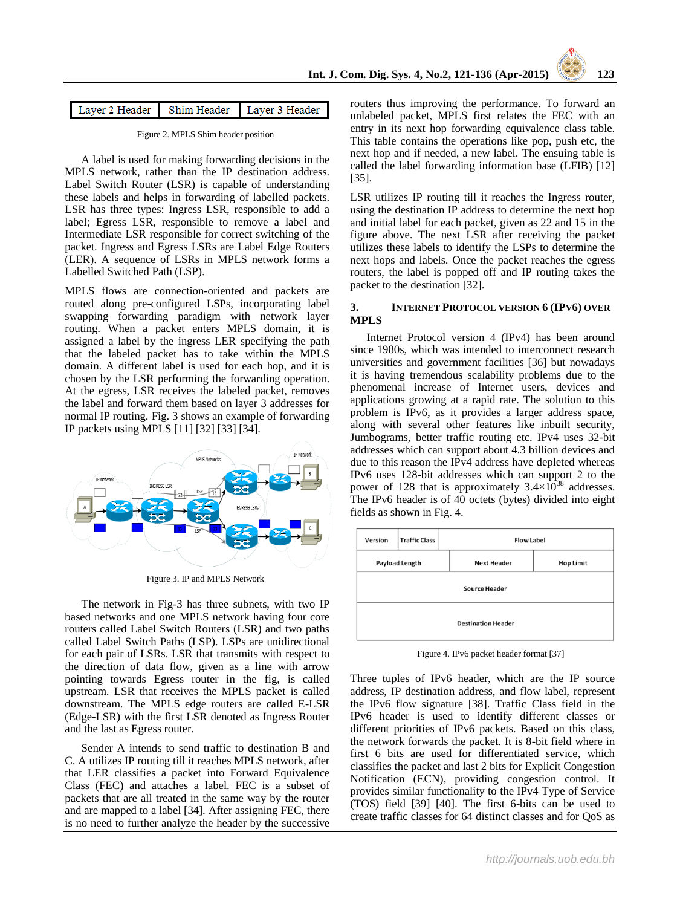| Layer 2 Header Shim Header Layer 3 Header |  |  |
|-------------------------------------------|--|--|
|-------------------------------------------|--|--|

Figure 2. MPLS Shim header position

A label is used for making forwarding decisions in the MPLS network, rather than the IP destination address. Label Switch Router (LSR) is capable of understanding these labels and helps in forwarding of labelled packets. LSR has three types: Ingress LSR, responsible to add a label; Egress LSR, responsible to remove a label and Intermediate LSR responsible for correct switching of the packet. Ingress and Egress LSRs are Label Edge Routers (LER). A sequence of LSRs in MPLS network forms a Labelled Switched Path (LSP).

MPLS flows are connection-oriented and packets are routed along pre-configured LSPs, incorporating label swapping forwarding paradigm with network layer routing. When a packet enters MPLS domain, it is assigned a label by the ingress LER specifying the path that the labeled packet has to take within the MPLS domain. A different label is used for each hop, and it is chosen by the LSR performing the forwarding operation. At the egress, LSR receives the labeled packet, removes the label and forward them based on layer 3 addresses for normal IP routing. Fig. 3 shows an example of forwarding IP packets using MPLS [11] [32] [33] [34].



Figure 3. IP and MPLS Network

The network in Fig-3 has three subnets, with two IP based networks and one MPLS network having four core routers called Label Switch Routers (LSR) and two paths called Label Switch Paths (LSP). LSPs are unidirectional for each pair of LSRs. LSR that transmits with respect to the direction of data flow, given as a line with arrow pointing towards Egress router in the fig, is called upstream. LSR that receives the MPLS packet is called downstream. The MPLS edge routers are called E-LSR (Edge-LSR) with the first LSR denoted as Ingress Router and the last as Egress router.

Sender A intends to send traffic to destination B and C. A utilizes IP routing till it reaches MPLS network, after that LER classifies a packet into Forward Equivalence Class (FEC) and attaches a label. FEC is a subset of packets that are all treated in the same way by the router and are mapped to a label [34]. After assigning FEC, there is no need to further analyze the header by the successive

routers thus improving the performance. To forward an unlabeled packet, MPLS first relates the FEC with an entry in its next hop forwarding equivalence class table. This table contains the operations like pop, push etc, the next hop and if needed, a new label. The ensuing table is called the label forwarding information base (LFIB) [12] [35].

LSR utilizes IP routing till it reaches the Ingress router, using the destination IP address to determine the next hop and initial label for each packet, given as 22 and 15 in the figure above. The next LSR after receiving the packet utilizes these labels to identify the LSPs to determine the next hops and labels. Once the packet reaches the egress routers, the label is popped off and IP routing takes the packet to the destination [32].

## **3. INTERNET PROTOCOL VERSION 6 (IPV6) OVER MPLS**

Internet Protocol version 4 (IPv4) has been around since 1980s, which was intended to interconnect research universities and government facilities [36] but nowadays it is having tremendous scalability problems due to the phenomenal increase of Internet users, devices and applications growing at a rapid rate. The solution to this problem is IPv6, as it provides a larger address space, along with several other features like inbuilt security, Jumbograms, better traffic routing etc. IPv4 uses 32-bit addresses which can support about 4.3 billion devices and due to this reason the IPv4 address have depleted whereas IPv6 uses 128-bit addresses which can support 2 to the power of 128 that is approximately  $3.4\times10^{38}$  addresses. The IPv6 header is of 40 octets (bytes) divided into eight fields as shown in Fig. 4.



Figure 4. IPv6 packet header format [37]

Three tuples of IPv6 header, which are the IP source address, IP destination address, and flow label, represent the IPv6 flow signature [38]. Traffic Class field in the IPv6 header is used to identify different classes or different priorities of IPv6 packets. Based on this class, the network forwards the packet. It is 8-bit field where in first 6 bits are used for differentiated service, which classifies the packet and last 2 bits for Explicit Congestion Notification (ECN), providing congestion control. It provides similar functionality to the IPv4 Type of Service (TOS) field [39] [40]. The first 6-bits can be used to create traffic classes for 64 distinct classes and for QoS as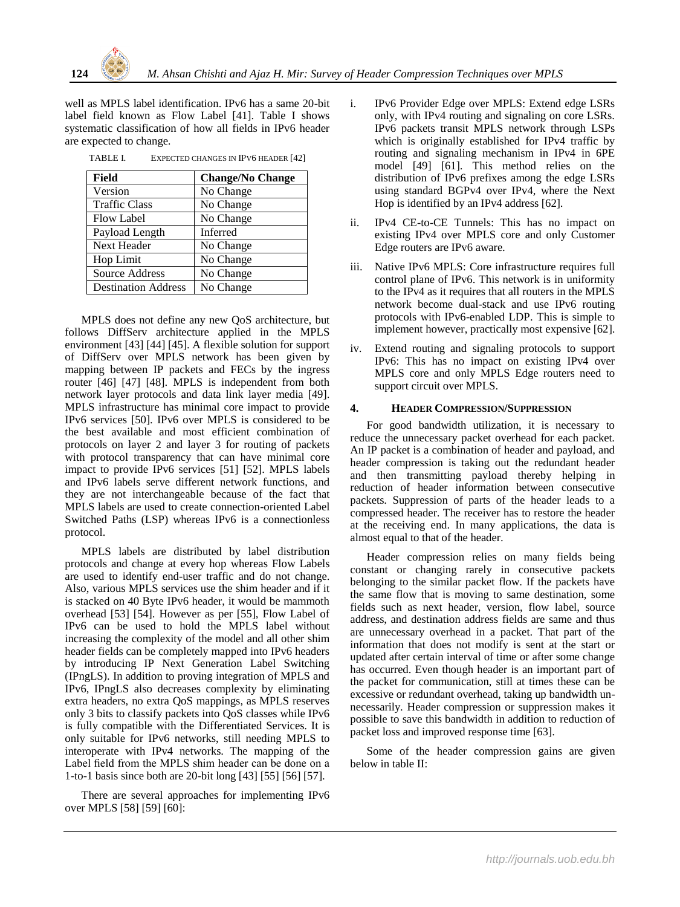well as MPLS label identification. IPv6 has a same 20-bit label field known as Flow Label [41]. Table I shows systematic classification of how all fields in IPv6 header are expected to change.

TABLE I. EXPECTED CHANGES IN IPV6 HEADER [42]

| Field                      | <b>Change/No Change</b> |
|----------------------------|-------------------------|
| Version                    | No Change               |
| <b>Traffic Class</b>       | No Change               |
| <b>Flow Label</b>          | No Change               |
| Payload Length             | Inferred                |
| Next Header                | No Change               |
| Hop Limit                  | No Change               |
| Source Address             | No Change               |
| <b>Destination Address</b> | No Change               |

MPLS does not define any new QoS architecture, but follows DiffServ architecture applied in the MPLS environment [43] [44] [45]. A flexible solution for support of DiffServ over MPLS network has been given by mapping between IP packets and FECs by the ingress router [46] [47] [48]. MPLS is independent from both network layer protocols and data link layer media [49]. MPLS infrastructure has minimal core impact to provide IPv6 services [50]. IPv6 over MPLS is considered to be the best available and most efficient combination of protocols on layer 2 and layer 3 for routing of packets with protocol transparency that can have minimal core impact to provide IPv6 services [51] [52]. MPLS labels and IPv6 labels serve different network functions, and they are not interchangeable because of the fact that MPLS labels are used to create connection-oriented Label Switched Paths (LSP) whereas IPv6 is a connectionless protocol.

MPLS labels are distributed by label distribution protocols and change at every hop whereas Flow Labels are used to identify end-user traffic and do not change. Also, various MPLS services use the shim header and if it is stacked on 40 Byte IPv6 header, it would be mammoth overhead [53] [54]. However as per [55], Flow Label of IPv6 can be used to hold the MPLS label without increasing the complexity of the model and all other shim header fields can be completely mapped into IPv6 headers by introducing IP Next Generation Label Switching (IPngLS). In addition to proving integration of MPLS and IPv6, IPngLS also decreases complexity by eliminating extra headers, no extra QoS mappings, as MPLS reserves only 3 bits to classify packets into QoS classes while IPv6 is fully compatible with the Differentiated Services. It is only suitable for IPv6 networks, still needing MPLS to interoperate with IPv4 networks. The mapping of the Label field from the MPLS shim header can be done on a 1-to-1 basis since both are 20-bit long [43] [55] [56] [57].

There are several approaches for implementing IPv6 over MPLS [58] [59] [60]:

- i. IPv6 Provider Edge over MPLS: Extend edge LSRs only, with IPv4 routing and signaling on core LSRs. IPv6 packets transit MPLS network through LSPs which is originally established for IPv4 traffic by routing and signaling mechanism in IPv4 in 6PE model [49] [61]. This method relies on the distribution of IPv6 prefixes among the edge LSRs using standard BGPv4 over IPv4, where the Next Hop is identified by an IPv4 address [62].
- ii. IPv4 CE-to-CE Tunnels: This has no impact on existing IPv4 over MPLS core and only Customer Edge routers are IPv6 aware.
- iii. Native IPv6 MPLS: Core infrastructure requires full control plane of IPv6. This network is in uniformity to the IPv4 as it requires that all routers in the MPLS network become dual-stack and use IPv6 routing protocols with IPv6-enabled LDP. This is simple to implement however, practically most expensive [62].
- iv. Extend routing and signaling protocols to support IPv6: This has no impact on existing IPv4 over MPLS core and only MPLS Edge routers need to support circuit over MPLS.

## **4. HEADER COMPRESSION/SUPPRESSION**

For good bandwidth utilization, it is necessary to reduce the unnecessary packet overhead for each packet. An IP packet is a combination of header and payload, and header compression is taking out the redundant header and then transmitting payload thereby helping in reduction of header information between consecutive packets. Suppression of parts of the header leads to a compressed header. The receiver has to restore the header at the receiving end. In many applications, the data is almost equal to that of the header.

Header compression relies on many fields being constant or changing rarely in consecutive packets belonging to the similar packet flow. If the packets have the same flow that is moving to same destination, some fields such as next header, version, flow label, source address, and destination address fields are same and thus are unnecessary overhead in a packet. That part of the information that does not modify is sent at the start or updated after certain interval of time or after some change has occurred. Even though header is an important part of the packet for communication, still at times these can be excessive or redundant overhead, taking up bandwidth unnecessarily. Header compression or suppression makes it possible to save this bandwidth in addition to reduction of packet loss and improved response time [63].

Some of the header compression gains are given below in table II: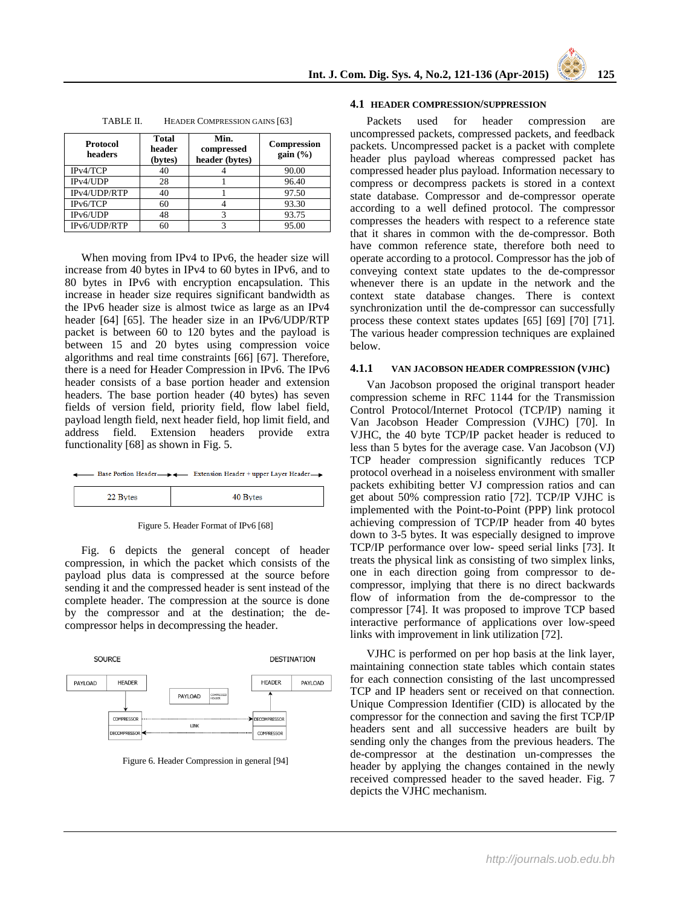| Protocol<br>headers | <b>Total</b><br>header<br>(bytes) | Min.<br>compressed<br>header (bytes) | <b>Compression</b><br>gain $(\% )$ |
|---------------------|-----------------------------------|--------------------------------------|------------------------------------|
| IPv4/TCP            | 40                                |                                      | 90.00                              |
| IPv4/UDP            | 28                                |                                      | 96.40                              |
| IPv4/UDP/RTP        | 40                                |                                      | 97.50                              |
| IPv6/TCP            | 60                                |                                      | 93.30                              |
| IPv6/UDP            | 48                                |                                      | 93.75                              |
| IPv6/UDP/RTP        | 60                                |                                      | 95.00                              |

TABLE II. HEADER COMPRESSION GAINS [63]

When moving from IPv4 to IPv6, the header size will increase from 40 bytes in IPv4 to 60 bytes in IPv6, and to 80 bytes in IPv6 with encryption encapsulation. This increase in header size requires significant bandwidth as the IPv6 header size is almost twice as large as an IPv4 header [64] [65]. The header size in an IPv6/UDP/RTP packet is between 60 to 120 bytes and the payload is between 15 and 20 bytes using compression voice algorithms and real time constraints [66] [67]. Therefore, there is a need for Header Compression in IPv6. The IPv6 header consists of a base portion header and extension headers. The base portion header (40 bytes) has seven fields of version field, priority field, flow label field, payload length field, next header field, hop limit field, and address field. Extension headers provide extra functionality [68] as shown in Fig. 5.

|  |  | → Base Portion Header → → Extension Header + upper Layer Header → |
|--|--|-------------------------------------------------------------------|
|--|--|-------------------------------------------------------------------|

| $\sim$<br>-- |
|--------------|
|--------------|



Fig. 6 depicts the general concept of header compression, in which the packet which consists of the payload plus data is compressed at the source before sending it and the compressed header is sent instead of the complete header. The compression at the source is done by the compressor and at the destination; the decompressor helps in decompressing the header.



Figure 6. Header Compression in general [94]

## **4.1 HEADER COMPRESSION/SUPPRESSION**

Packets used for header compression are uncompressed packets, compressed packets, and feedback packets. Uncompressed packet is a packet with complete header plus payload whereas compressed packet has compressed header plus payload. Information necessary to compress or decompress packets is stored in a context state database. Compressor and de-compressor operate according to a well defined protocol. The compressor compresses the headers with respect to a reference state that it shares in common with the de-compressor. Both have common reference state, therefore both need to operate according to a protocol. Compressor has the job of conveying context state updates to the de-compressor whenever there is an update in the network and the context state database changes. There is context synchronization until the de-compressor can successfully process these context states updates [65] [69] [70] [71]. The various header compression techniques are explained below.

#### **4.1.1 VAN JACOBSON HEADER COMPRESSION (VJHC)**

Van Jacobson proposed the original transport header compression scheme in RFC 1144 for the Transmission Control Protocol/Internet Protocol (TCP/IP) naming it Van Jacobson Header Compression (VJHC) [70]. In VJHC, the 40 byte TCP/IP packet header is reduced to less than 5 bytes for the average case. Van Jacobson (VJ) TCP header compression significantly reduces TCP protocol overhead in a noiseless environment with smaller packets exhibiting better VJ compression ratios and can get about 50% compression ratio [72]. TCP/IP VJHC is implemented with the Point-to-Point (PPP) link protocol achieving compression of TCP/IP header from 40 bytes down to 3-5 bytes. It was especially designed to improve TCP/IP performance over low- speed serial links [73]. It treats the physical link as consisting of two simplex links, one in each direction going from compressor to decompressor, implying that there is no direct backwards flow of information from the de-compressor to the compressor [74]. It was proposed to improve TCP based interactive performance of applications over low-speed links with improvement in link utilization [72].

VJHC is performed on per hop basis at the link layer, maintaining connection state tables which contain states for each connection consisting of the last uncompressed TCP and IP headers sent or received on that connection. Unique Compression Identifier (CID) is allocated by the compressor for the connection and saving the first TCP/IP headers sent and all successive headers are built by sending only the changes from the previous headers. The de-compressor at the destination un-compresses the header by applying the changes contained in the newly received compressed header to the saved header. Fig. 7 depicts the VJHC mechanism.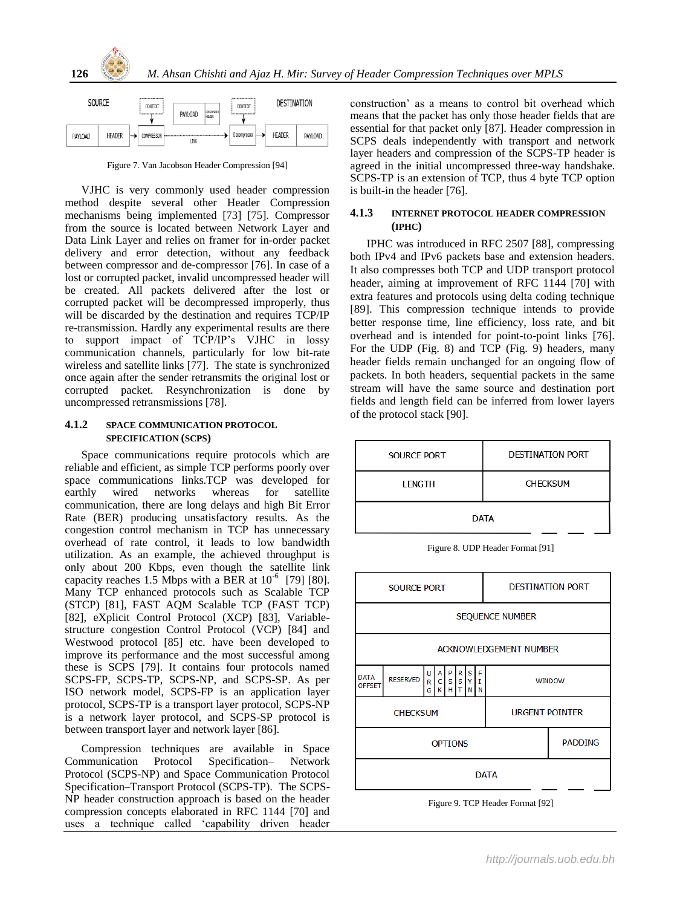



Figure 7. Van Jacobson Header Compression [94]

VJHC is very commonly used header compression method despite several other Header Compression mechanisms being implemented [73] [75]. Compressor from the source is located between Network Layer and Data Link Layer and relies on framer for in-order packet delivery and error detection, without any feedback between compressor and de-compressor [76]. In case of a lost or corrupted packet, invalid uncompressed header will be created. All packets delivered after the lost or corrupted packet will be decompressed improperly, thus will be discarded by the destination and requires TCP/IP re-transmission. Hardly any experimental results are there to support impact of TCP/IP's VJHC in lossy communication channels, particularly for low bit-rate wireless and satellite links [77]. The state is synchronized once again after the sender retransmits the original lost or corrupted packet. Resynchronization is done by uncompressed retransmissions [78].

#### **4.1.2 SPACE COMMUNICATION PROTOCOL SPECIFICATION (SCPS)**

Space communications require protocols which are reliable and efficient, as simple TCP performs poorly over space communications links.TCP was developed for earthly wired networks whereas for satellite communication, there are long delays and high Bit Error Rate (BER) producing unsatisfactory results. As the congestion control mechanism in TCP has unnecessary overhead of rate control, it leads to low bandwidth utilization. As an example, the achieved throughput is only about 200 Kbps, even though the satellite link capacity reaches 1.5 Mbps with a BER at  $10^{-6}$  [79] [80]. Many TCP enhanced protocols such as Scalable TCP (STCP) [81], FAST AQM Scalable TCP (FAST TCP) [82], eXplicit Control Protocol (XCP) [83], Variablestructure congestion Control Protocol (VCP) [84] and Westwood protocol [85] etc. have been developed to improve its performance and the most successful among these is SCPS [79]. It contains four protocols named SCPS-FP, SCPS-TP, SCPS-NP, and SCPS-SP. As per ISO network model, SCPS-FP is an application layer protocol, SCPS-TP is a transport layer protocol, SCPS-NP is a network layer protocol, and SCPS-SP protocol is between transport layer and network layer [86].

Compression techniques are available in Space Communication Protocol Specification– Network Protocol (SCPS-NP) and Space Communication Protocol Specification–Transport Protocol (SCPS-TP). The SCPS-NP header construction approach is based on the header compression concepts elaborated in RFC 1144 [70] and uses a technique called 'capability driven header

construction' as a means to control bit overhead which means that the packet has only those header fields that are essential for that packet only [87]. Header compression in SCPS deals independently with transport and network layer headers and compression of the SCPS-TP header is agreed in the initial uncompressed three-way handshake. SCPS-TP is an extension of TCP, thus 4 byte TCP option is built-in the header [76].

# **4.1.3 INTERNET PROTOCOL HEADER COMPRESSION (IPHC)**

IPHC was introduced in RFC 2507 [88], compressing both IPv4 and IPv6 packets base and extension headers. It also compresses both TCP and UDP transport protocol header, aiming at improvement of RFC 1144 [70] with extra features and protocols using delta coding technique [89]. This compression technique intends to provide better response time, line efficiency, loss rate, and bit overhead and is intended for point-to-point links [76]. For the UDP (Fig. 8) and TCP (Fig. 9) headers, many header fields remain unchanged for an ongoing flow of packets. In both headers, sequential packets in the same stream will have the same source and destination port fields and length field can be inferred from lower layers of the protocol stack [90].

| <b>SOURCE PORT</b> | <b>DESTINATION PORT</b> |  |
|--------------------|-------------------------|--|
| LENGTH             | <b>CHECKSUM</b>         |  |
| DATA               |                         |  |

Figure 8. UDP Header Format [91]



Figure 9. TCP Header Format [92]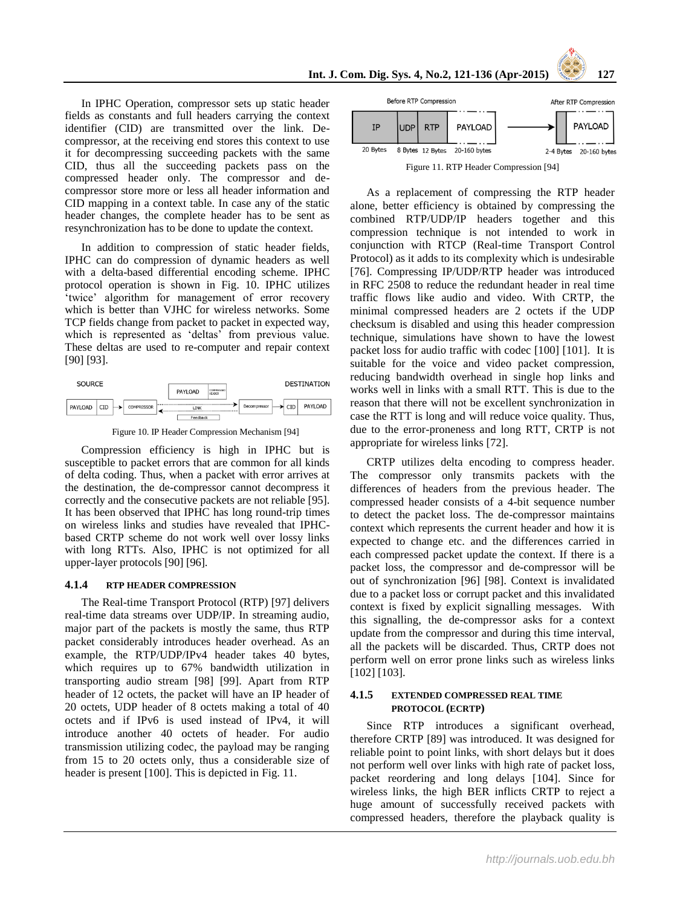In IPHC Operation, compressor sets up static header fields as constants and full headers carrying the context identifier (CID) are transmitted over the link. Decompressor, at the receiving end stores this context to use it for decompressing succeeding packets with the same CID, thus all the succeeding packets pass on the compressed header only. The compressor and decompressor store more or less all header information and CID mapping in a context table. In case any of the static header changes, the complete header has to be sent as resynchronization has to be done to update the context.

In addition to compression of static header fields, IPHC can do compression of dynamic headers as well with a delta-based differential encoding scheme. IPHC protocol operation is shown in Fig. 10. IPHC utilizes 'twice' algorithm for management of error recovery which is better than VJHC for wireless networks. Some TCP fields change from packet to packet in expected way, which is represented as 'deltas' from previous value. These deltas are used to re-computer and repair context [90] [93].



Figure 10. IP Header Compression Mechanism [94]

Compression efficiency is high in IPHC but is susceptible to packet errors that are common for all kinds of delta coding. Thus, when a packet with error arrives at the destination, the de-compressor cannot decompress it correctly and the consecutive packets are not reliable [95]. It has been observed that IPHC has long round-trip times on wireless links and studies have revealed that IPHCbased CRTP scheme do not work well over lossy links with long RTTs. Also, IPHC is not optimized for all upper-layer protocols [90] [96].

#### **4.1.4 RTP HEADER COMPRESSION**

The Real-time Transport Protocol (RTP) [97] delivers real-time data streams over UDP/IP. In streaming audio, major part of the packets is mostly the same, thus RTP packet considerably introduces header overhead. As an example, the RTP/UDP/IPv4 header takes 40 bytes, which requires up to 67% bandwidth utilization in transporting audio stream [98] [99]. Apart from RTP header of 12 octets, the packet will have an IP header of 20 octets, UDP header of 8 octets making a total of 40 octets and if IPv6 is used instead of IPv4, it will introduce another 40 octets of header. For audio transmission utilizing codec, the payload may be ranging from 15 to 20 octets only, thus a considerable size of header is present [100]. This is depicted in Fig. 11.



As a replacement of compressing the RTP header alone, better efficiency is obtained by compressing the combined RTP/UDP/IP headers together and this compression technique is not intended to work in conjunction with RTCP (Real-time Transport Control Protocol) as it adds to its complexity which is undesirable [76]. Compressing IP/UDP/RTP header was introduced in RFC 2508 to reduce the redundant header in real time traffic flows like audio and video. With CRTP, the minimal compressed headers are 2 octets if the UDP checksum is disabled and using this header compression technique, simulations have shown to have the lowest packet loss for audio traffic with codec [100] [101]. It is suitable for the voice and video packet compression, reducing bandwidth overhead in single hop links and works well in links with a small RTT. This is due to the reason that there will not be excellent synchronization in case the RTT is long and will reduce voice quality. Thus, due to the error-proneness and long RTT, CRTP is not appropriate for wireless links [72].

CRTP utilizes delta encoding to compress header. The compressor only transmits packets with the differences of headers from the previous header. The compressed header consists of a 4-bit sequence number to detect the packet loss. The de-compressor maintains context which represents the current header and how it is expected to change etc. and the differences carried in each compressed packet update the context. If there is a packet loss, the compressor and de-compressor will be out of synchronization [96] [98]. Context is invalidated due to a packet loss or corrupt packet and this invalidated context is fixed by explicit signalling messages. With this signalling, the de-compressor asks for a context update from the compressor and during this time interval, all the packets will be discarded. Thus, CRTP does not perform well on error prone links such as wireless links [102] [103].

## **4.1.5 EXTENDED COMPRESSED REAL TIME PROTOCOL (ECRTP)**

Since RTP introduces a significant overhead, therefore CRTP [89] was introduced. It was designed for reliable point to point links, with short delays but it does not perform well over links with high rate of packet loss, packet reordering and long delays [104]. Since for wireless links, the high BER inflicts CRTP to reject a huge amount of successfully received packets with compressed headers, therefore the playback quality is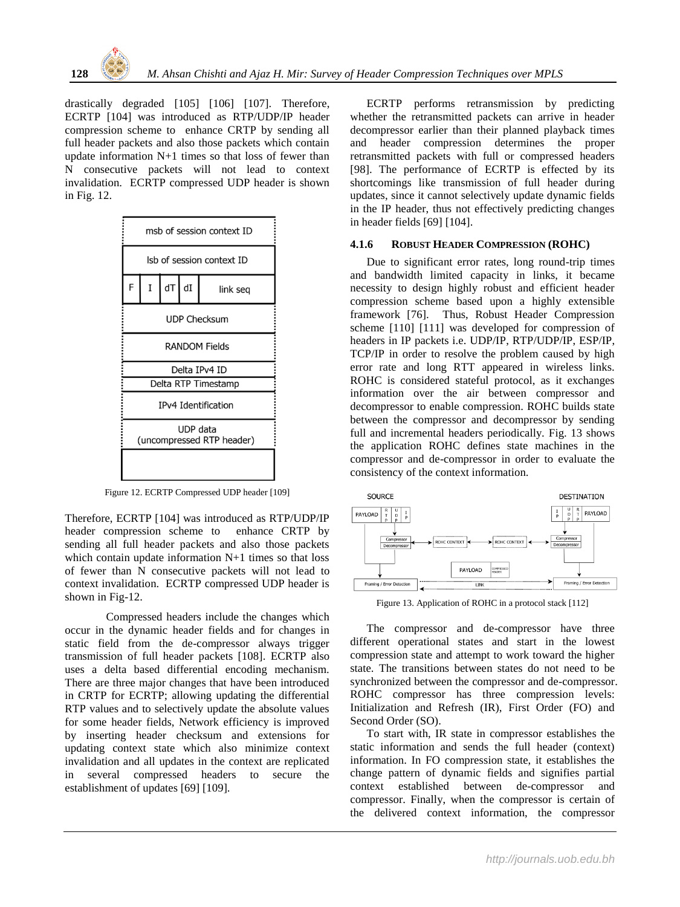drastically degraded [105] [106] [107]. Therefore, ECRTP [104] was introduced as RTP/UDP/IP header compression scheme to enhance CRTP by sending all full header packets and also those packets which contain update information N+1 times so that loss of fewer than N consecutive packets will not lead to context invalidation. ECRTP compressed UDP header is shown in Fig. 12.



Figure 12. ECRTP Compressed UDP header [109]

Therefore, ECRTP [104] was introduced as RTP/UDP/IP header compression scheme to enhance CRTP by sending all full header packets and also those packets which contain update information N+1 times so that loss of fewer than N consecutive packets will not lead to context invalidation. ECRTP compressed UDP header is shown in Fig-12.

Compressed headers include the changes which occur in the dynamic header fields and for changes in static field from the de-compressor always trigger transmission of full header packets [108]. ECRTP also uses a delta based differential encoding mechanism. There are three major changes that have been introduced in CRTP for ECRTP; allowing updating the differential RTP values and to selectively update the absolute values for some header fields, Network efficiency is improved by inserting header checksum and extensions for updating context state which also minimize context invalidation and all updates in the context are replicated in several compressed headers to secure the establishment of updates [69] [109].

ECRTP performs retransmission by predicting whether the retransmitted packets can arrive in header decompressor earlier than their planned playback times and header compression determines the proper retransmitted packets with full or compressed headers [98]. The performance of ECRTP is effected by its shortcomings like transmission of full header during updates, since it cannot selectively update dynamic fields in the IP header, thus not effectively predicting changes in header fields [69] [104].

#### **4.1.6 ROBUST HEADER COMPRESSION (ROHC)**

Due to significant error rates, long round-trip times and bandwidth limited capacity in links, it became necessity to design highly robust and efficient header compression scheme based upon a highly extensible framework [76]. Thus, Robust Header Compression scheme [110] [111] was developed for compression of headers in IP packets i.e. UDP/IP, RTP/UDP/IP, ESP/IP, TCP/IP in order to resolve the problem caused by high error rate and long RTT appeared in wireless links. ROHC is considered stateful protocol, as it exchanges information over the air between compressor and decompressor to enable compression. ROHC builds state between the compressor and decompressor by sending full and incremental headers periodically. Fig. 13 shows the application ROHC defines state machines in the compressor and de-compressor in order to evaluate the consistency of the context information.



Figure 13. Application of ROHC in a protocol stack [112]

The compressor and de-compressor have three different operational states and start in the lowest compression state and attempt to work toward the higher state. The transitions between states do not need to be synchronized between the compressor and de-compressor. ROHC compressor has three compression levels: Initialization and Refresh (IR), First Order (FO) and Second Order (SO).

To start with, IR state in compressor establishes the static information and sends the full header (context) information. In FO compression state, it establishes the change pattern of dynamic fields and signifies partial context established between de-compressor and compressor. Finally, when the compressor is certain of the delivered context information, the compressor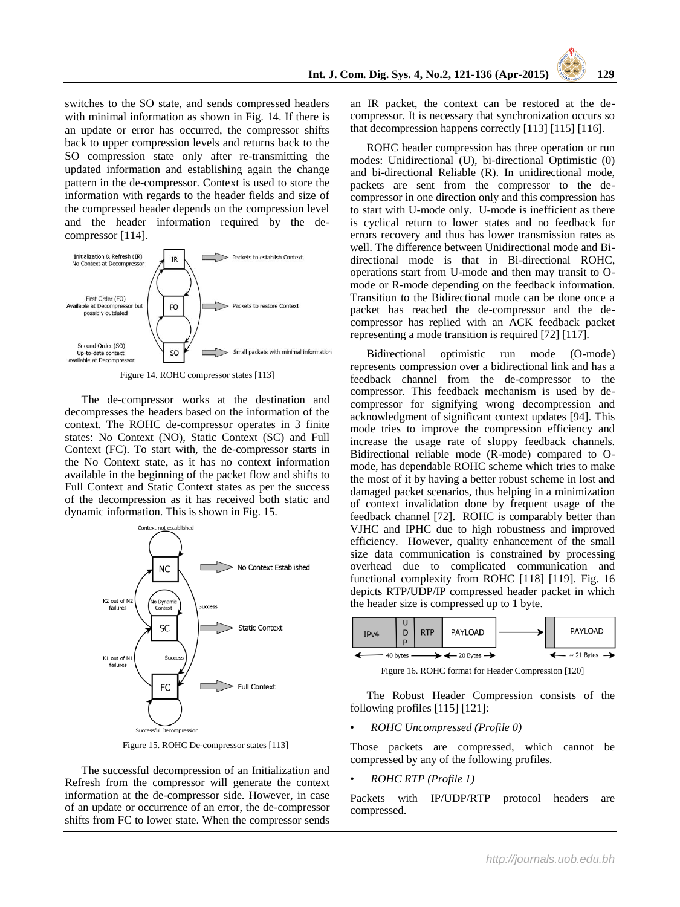switches to the SO state, and sends compressed headers with minimal information as shown in Fig. 14. If there is an update or error has occurred, the compressor shifts back to upper compression levels and returns back to the SO compression state only after re-transmitting the updated information and establishing again the change pattern in the de-compressor. Context is used to store the information with regards to the header fields and size of the compressed header depends on the compression level and the header information required by the decompressor [114].



Figure 14. ROHC compressor states [113]

The de-compressor works at the destination and decompresses the headers based on the information of the context. The ROHC de-compressor operates in 3 finite states: No Context (NO), Static Context (SC) and Full Context (FC). To start with, the de-compressor starts in the No Context state, as it has no context information available in the beginning of the packet flow and shifts to Full Context and Static Context states as per the success of the decompression as it has received both static and dynamic information. This is shown in Fig. 15.



Figure 15. ROHC De-compressor states [113]

The successful decompression of an Initialization and Refresh from the compressor will generate the context information at the de-compressor side. However, in case of an update or occurrence of an error, the de-compressor shifts from FC to lower state. When the compressor sends an IR packet, the context can be restored at the decompressor. It is necessary that synchronization occurs so that decompression happens correctly [113] [115] [116].

ROHC header compression has three operation or run modes: Unidirectional (U), bi-directional Optimistic (0) and bi-directional Reliable (R). In unidirectional mode, packets are sent from the compressor to the decompressor in one direction only and this compression has to start with U-mode only. U-mode is inefficient as there is cyclical return to lower states and no feedback for errors recovery and thus has lower transmission rates as well. The difference between Unidirectional mode and Bidirectional mode is that in Bi-directional ROHC, operations start from U-mode and then may transit to Omode or R-mode depending on the feedback information. Transition to the Bidirectional mode can be done once a packet has reached the de-compressor and the decompressor has replied with an ACK feedback packet representing a mode transition is required [72] [117].

Bidirectional optimistic run mode (O-mode) represents compression over a bidirectional link and has a feedback channel from the de-compressor to the compressor. This feedback mechanism is used by decompressor for signifying wrong decompression and acknowledgment of significant context updates [94]. This mode tries to improve the compression efficiency and increase the usage rate of sloppy feedback channels. Bidirectional reliable mode (R-mode) compared to Omode, has dependable ROHC scheme which tries to make the most of it by having a better robust scheme in lost and damaged packet scenarios, thus helping in a minimization of context invalidation done by frequent usage of the feedback channel [72]. ROHC is comparably better than VJHC and IPHC due to high robustness and improved efficiency. However, quality enhancement of the small size data communication is constrained by processing overhead due to complicated communication and functional complexity from ROHC [118] [119]. Fig. 16 depicts RTP/UDP/IP compressed header packet in which the header size is compressed up to 1 byte.



Figure 16. ROHC format for Header Compression [120]

The Robust Header Compression consists of the following profiles [115] [121]:

• *ROHC Uncompressed (Profile 0)*

Those packets are compressed, which cannot be compressed by any of the following profiles.

• *ROHC RTP (Profile 1)*

Packets with IP/UDP/RTP protocol headers are compressed.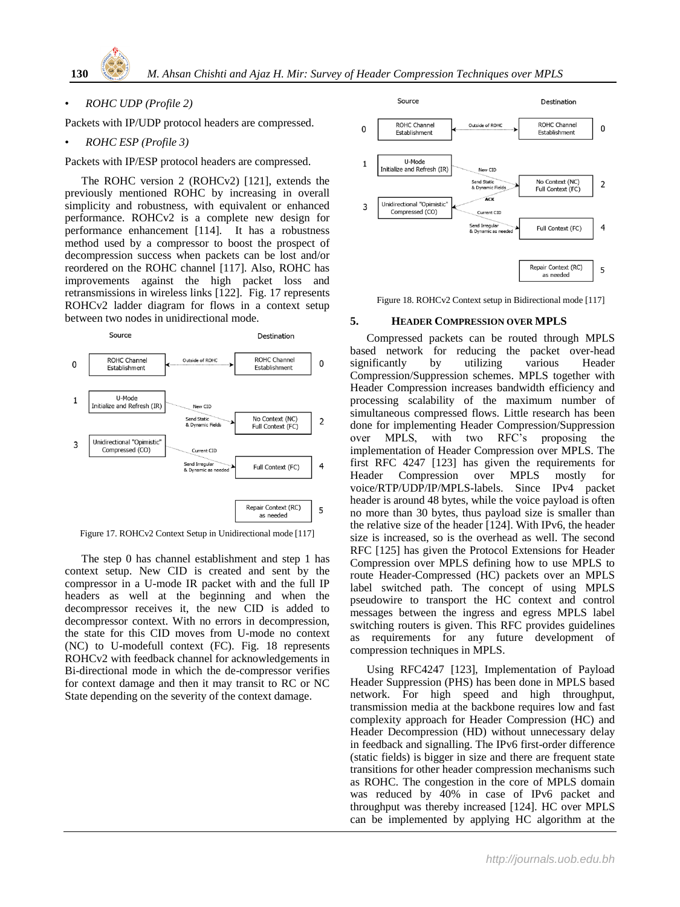## • *ROHC UDP (Profile 2)*

Packets with IP/UDP protocol headers are compressed.

#### • *ROHC ESP (Profile 3)*

Packets with IP/ESP protocol headers are compressed.

The ROHC version 2 (ROHCv2) [121], extends the previously mentioned ROHC by increasing in overall simplicity and robustness, with equivalent or enhanced performance. ROHCv2 is a complete new design for performance enhancement [114]. It has a robustness method used by a compressor to boost the prospect of decompression success when packets can be lost and/or reordered on the ROHC channel [117]. Also, ROHC has improvements against the high packet loss and retransmissions in wireless links [122]. Fig. 17 represents ROHCv2 ladder diagram for flows in a context setup between two nodes in unidirectional mode.



Figure 17. ROHCv2 Context Setup in Unidirectional mode [117]

The step 0 has channel establishment and step 1 has context setup. New CID is created and sent by the compressor in a U-mode IR packet with and the full IP headers as well at the beginning and when the decompressor receives it, the new CID is added to decompressor context. With no errors in decompression, the state for this CID moves from U-mode no context (NC) to U-modefull context (FC). Fig. 18 represents ROHCv2 with feedback channel for acknowledgements in Bi-directional mode in which the de-compressor verifies for context damage and then it may transit to RC or NC State depending on the severity of the context damage.



Figure 18. ROHCv2 Context setup in Bidirectional mode [117]

#### **5. HEADER COMPRESSION OVER MPLS**

Compressed packets can be routed through MPLS based network for reducing the packet over-head significantly by utilizing various Header Compression/Suppression schemes. MPLS together with Header Compression increases bandwidth efficiency and processing scalability of the maximum number of simultaneous compressed flows. Little research has been done for implementing Header Compression/Suppression over MPLS, with two RFC's proposing the implementation of Header Compression over MPLS. The first RFC 4247 [123] has given the requirements for Header Compression over MPLS mostly for voice/RTP/UDP/IP/MPLS-labels. Since IPv4 packet header is around 48 bytes, while the voice payload is often no more than 30 bytes, thus payload size is smaller than the relative size of the header [124]. With IPv6, the header size is increased, so is the overhead as well. The second RFC [125] has given the Protocol Extensions for Header Compression over MPLS defining how to use MPLS to route Header-Compressed (HC) packets over an MPLS label switched path. The concept of using MPLS pseudowire to transport the HC context and control messages between the ingress and egress MPLS label switching routers is given. This RFC provides guidelines as requirements for any future development of compression techniques in MPLS.

Using RFC4247 [123], Implementation of Payload Header Suppression (PHS) has been done in MPLS based network. For high speed and high throughput, transmission media at the backbone requires low and fast complexity approach for Header Compression (HC) and Header Decompression (HD) without unnecessary delay in feedback and signalling. The IPv6 first-order difference (static fields) is bigger in size and there are frequent state transitions for other header compression mechanisms such as ROHC. The congestion in the core of MPLS domain was reduced by 40% in case of IPv6 packet and throughput was thereby increased [124]. HC over MPLS can be implemented by applying HC algorithm at the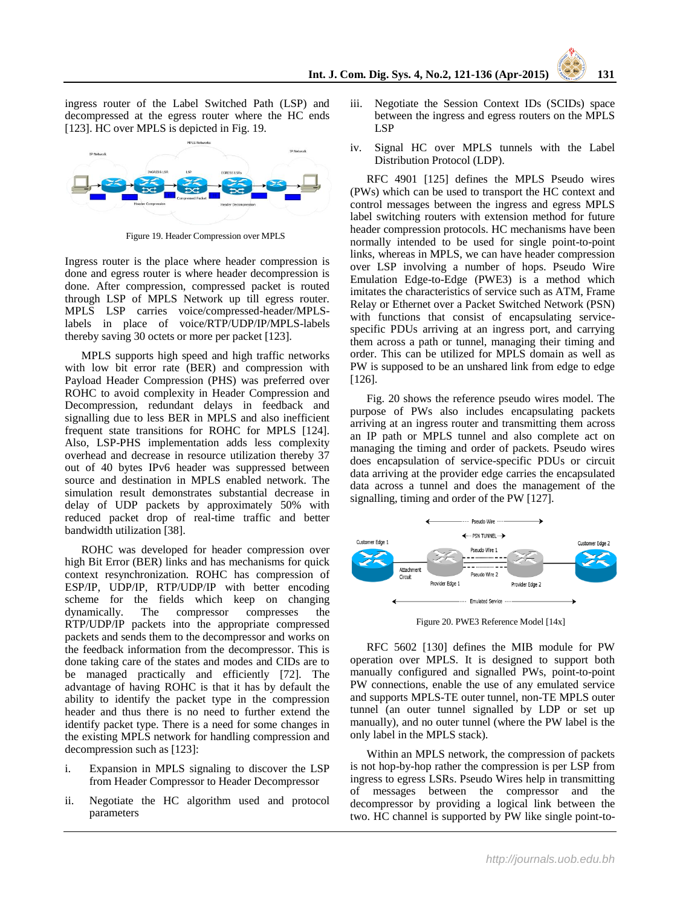ingress router of the Label Switched Path (LSP) and decompressed at the egress router where the HC ends [123]. HC over MPLS is depicted in Fig. 19.



Figure 19. Header Compression over MPLS

Ingress router is the place where header compression is done and egress router is where header decompression is done. After compression, compressed packet is routed through LSP of MPLS Network up till egress router. MPLS LSP carries voice/compressed-header/MPLSlabels in place of voice/RTP/UDP/IP/MPLS-labels thereby saving 30 octets or more per packet [123].

MPLS supports high speed and high traffic networks with low bit error rate (BER) and compression with Payload Header Compression (PHS) was preferred over ROHC to avoid complexity in Header Compression and Decompression, redundant delays in feedback and signalling due to less BER in MPLS and also inefficient frequent state transitions for ROHC for MPLS [124]. Also, LSP-PHS implementation adds less complexity overhead and decrease in resource utilization thereby 37 out of 40 bytes IPv6 header was suppressed between source and destination in MPLS enabled network. The simulation result demonstrates substantial decrease in delay of UDP packets by approximately 50% with reduced packet drop of real-time traffic and better bandwidth utilization [38].

ROHC was developed for header compression over high Bit Error (BER) links and has mechanisms for quick context resynchronization. ROHC has compression of ESP/IP, UDP/IP, RTP/UDP/IP with better encoding scheme for the fields which keep on changing dynamically. The compressor compresses the RTP/UDP/IP packets into the appropriate compressed packets and sends them to the decompressor and works on the feedback information from the decompressor. This is done taking care of the states and modes and CIDs are to be managed practically and efficiently [72]. The advantage of having ROHC is that it has by default the ability to identify the packet type in the compression header and thus there is no need to further extend the identify packet type. There is a need for some changes in the existing MPLS network for handling compression and decompression such as [123]:

- i. Expansion in MPLS signaling to discover the LSP from Header Compressor to Header Decompressor
- ii. Negotiate the HC algorithm used and protocol parameters
- iii. Negotiate the Session Context IDs (SCIDs) space between the ingress and egress routers on the MPLS LSP
- iv. Signal HC over MPLS tunnels with the Label Distribution Protocol (LDP).

RFC 4901 [125] defines the MPLS Pseudo wires (PWs) which can be used to transport the HC context and control messages between the ingress and egress MPLS label switching routers with extension method for future header compression protocols. HC mechanisms have been normally intended to be used for single point-to-point links, whereas in MPLS, we can have header compression over LSP involving a number of hops. Pseudo Wire Emulation Edge-to-Edge (PWE3) is a method which imitates the characteristics of service such as ATM, Frame Relay or Ethernet over a Packet Switched Network (PSN) with functions that consist of encapsulating servicespecific PDUs arriving at an ingress port, and carrying them across a path or tunnel, managing their timing and order. This can be utilized for MPLS domain as well as PW is supposed to be an unshared link from edge to edge [126].

Fig. 20 shows the reference pseudo wires model. The purpose of PWs also includes encapsulating packets arriving at an ingress router and transmitting them across an IP path or MPLS tunnel and also complete act on managing the timing and order of packets. Pseudo wires does encapsulation of service-specific PDUs or circuit data arriving at the provider edge carries the encapsulated data across a tunnel and does the management of the signalling, timing and order of the PW [127].



Figure 20. PWE3 Reference Model [14x]

RFC 5602 [130] defines the MIB module for PW operation over MPLS. It is designed to support both manually configured and signalled PWs, point-to-point PW connections, enable the use of any emulated service and supports MPLS-TE outer tunnel, non-TE MPLS outer tunnel (an outer tunnel signalled by LDP or set up manually), and no outer tunnel (where the PW label is the only label in the MPLS stack).

Within an MPLS network, the compression of packets is not hop-by-hop rather the compression is per LSP from ingress to egress LSRs. Pseudo Wires help in transmitting of messages between the compressor and the decompressor by providing a logical link between the two. HC channel is supported by PW like single point-to-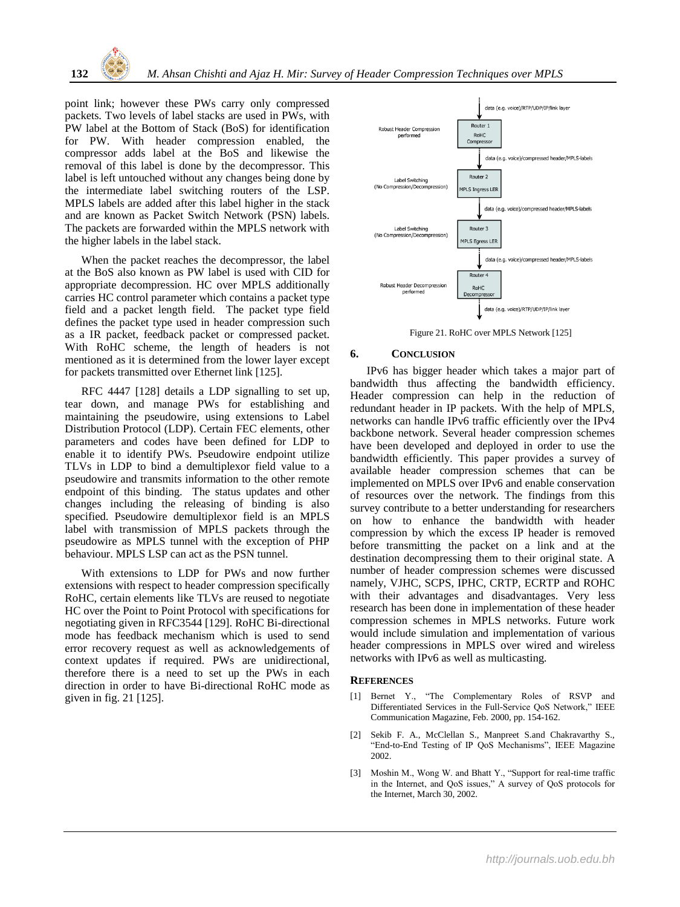point link; however these PWs carry only compressed packets. Two levels of label stacks are used in PWs, with PW label at the Bottom of Stack (BoS) for identification for PW. With header compression enabled, the compressor adds label at the BoS and likewise the removal of this label is done by the decompressor. This label is left untouched without any changes being done by the intermediate label switching routers of the LSP. MPLS labels are added after this label higher in the stack and are known as Packet Switch Network (PSN) labels. The packets are forwarded within the MPLS network with the higher labels in the label stack.

When the packet reaches the decompressor, the label at the BoS also known as PW label is used with CID for appropriate decompression. HC over MPLS additionally carries HC control parameter which contains a packet type field and a packet length field. The packet type field defines the packet type used in header compression such as a IR packet, feedback packet or compressed packet. With RoHC scheme, the length of headers is not mentioned as it is determined from the lower layer except for packets transmitted over Ethernet link [125].

RFC 4447 [128] details a LDP signalling to set up, tear down, and manage PWs for establishing and maintaining the pseudowire, using extensions to Label Distribution Protocol (LDP). Certain FEC elements, other parameters and codes have been defined for LDP to enable it to identify PWs. Pseudowire endpoint utilize TLVs in LDP to bind a demultiplexor field value to a pseudowire and transmits information to the other remote endpoint of this binding. The status updates and other changes including the releasing of binding is also specified. Pseudowire demultiplexor field is an MPLS label with transmission of MPLS packets through the pseudowire as MPLS tunnel with the exception of PHP behaviour. MPLS LSP can act as the PSN tunnel.

With extensions to LDP for PWs and now further extensions with respect to header compression specifically RoHC, certain elements like TLVs are reused to negotiate HC over the Point to Point Protocol with specifications for negotiating given in RFC3544 [129]. RoHC Bi-directional mode has feedback mechanism which is used to send error recovery request as well as acknowledgements of context updates if required. PWs are unidirectional, therefore there is a need to set up the PWs in each direction in order to have Bi-directional RoHC mode as given in fig. 21 [125].



Figure 21. RoHC over MPLS Network [125]

# **6. CONCLUSION**

IPv6 has bigger header which takes a major part of bandwidth thus affecting the bandwidth efficiency. Header compression can help in the reduction of redundant header in IP packets. With the help of MPLS, networks can handle IPv6 traffic efficiently over the IPv4 backbone network. Several header compression schemes have been developed and deployed in order to use the bandwidth efficiently. This paper provides a survey of available header compression schemes that can be implemented on MPLS over IPv6 and enable conservation of resources over the network. The findings from this survey contribute to a better understanding for researchers on how to enhance the bandwidth with header compression by which the excess IP header is removed before transmitting the packet on a link and at the destination decompressing them to their original state. A number of header compression schemes were discussed namely, VJHC, SCPS, IPHC, CRTP, ECRTP and ROHC with their advantages and disadvantages. Very less research has been done in implementation of these header compression schemes in MPLS networks. Future work would include simulation and implementation of various header compressions in MPLS over wired and wireless networks with IPv6 as well as multicasting.

## **REFERENCES**

- [1] Bernet Y., "The Complementary Roles of RSVP and Differentiated Services in the Full-Service QoS Network," IEEE Communication Magazine, Feb. 2000, pp. 154-162.
- [2] Sekib F. A., McClellan S., Manpreet S.and Chakravarthy S., "End-to-End Testing of IP QoS Mechanisms", IEEE Magazine 2002.
- [3] Moshin M., Wong W. and Bhatt Y., "Support for real-time traffic in the Internet, and QoS issues," A survey of QoS protocols for the Internet, March 30, 2002.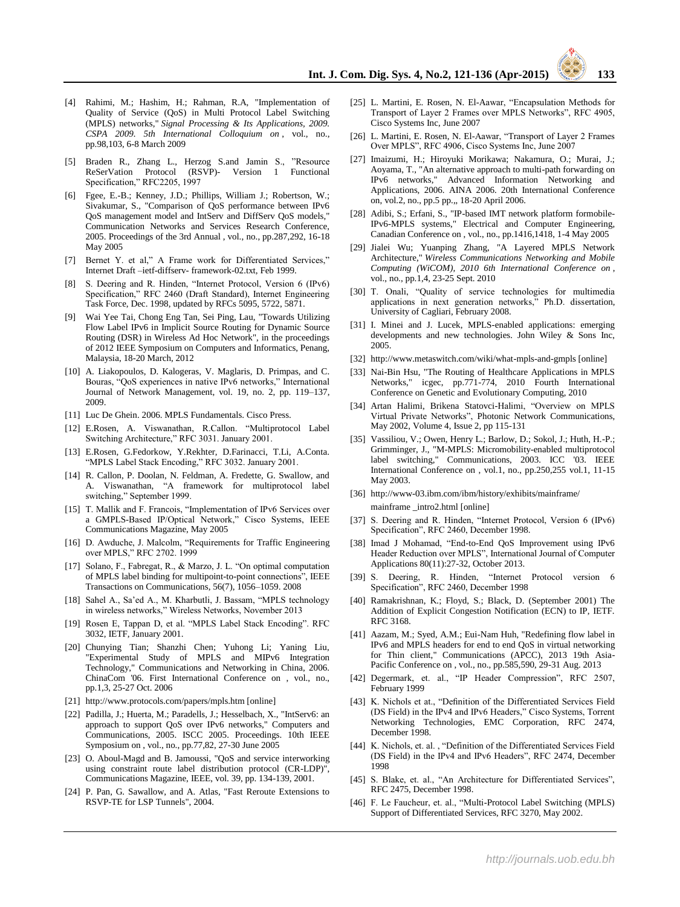- [4] Rahimi, M.; Hashim, H.; Rahman, R.A, "Implementation of Quality of Service (QoS) in Multi Protocol Label Switching (MPLS) networks," *Signal Processing & Its Applications, 2009. CSPA 2009. 5th International Colloquium on* , vol., no., pp.98,103, 6-8 March 2009
- [5] Braden R., Zhang L., Herzog S.and Jamin S., "Resource  $ReserVation$  Protocol  $(RSVP)$ -Specification," RFC2205, 1997
- [6] Fgee, E.-B.; Kenney, J.D.; Phillips, William J.; Robertson, W.; Sivakumar, S., "Comparison of QoS performance between IPv6 QoS management model and IntServ and DiffServ QoS models," Communication Networks and Services Research Conference, 2005. Proceedings of the 3rd Annual , vol., no., pp.287,292, 16-18 May 2005
- [7] Bernet Y. et al," A Frame work for Differentiated Services," Internet Draft –ietf-diffserv- framework-02.txt, Feb 1999.
- [8] S. Deering and R. Hinden, "Internet Protocol, Version 6 (IPv6) Specification," RFC 2460 (Draft Standard), Internet Engineering Task Force, Dec. 1998, updated by RFCs 5095, 5722, 5871.
- [9] Wai Yee Tai, Chong Eng Tan, Sei Ping, Lau, "Towards Utilizing Flow Label IPv6 in Implicit Source Routing for Dynamic Source Routing (DSR) in Wireless Ad Hoc Network", in the proceedings of 2012 IEEE Symposium on Computers and Informatics, Penang, Malaysia, 18-20 March, 2012
- [10] A. Liakopoulos, D. Kalogeras, V. Maglaris, D. Primpas, and C. Bouras, "QoS experiences in native IPv6 networks," International Journal of Network Management, vol. 19, no. 2, pp. 119–137, 2009.
- [11] Luc De Ghein. 2006. MPLS Fundamentals. Cisco Press.
- [12] E.Rosen, A. Viswanathan, R.Callon. "Multiprotocol Label Switching Architecture," RFC 3031. January 2001.
- [13] E.Rosen, G.Fedorkow, Y.Rekhter, D.Farinacci, T.Li, A.Conta. "MPLS Label Stack Encoding," RFC 3032. January 2001.
- [14] R. Callon, P. Doolan, N. Feldman, A. Fredette, G. Swallow, and A. Viswanathan, "A framework for multiprotocol label switching," September 1999.
- [15] T. Mallik and F. Francois, "Implementation of IPv6 Services over a GMPLS-Based IP/Optical Network," Cisco Systems, IEEE Communications Magazine, May 2005
- [16] D. Awduche, J. Malcolm, "Requirements for Traffic Engineering over MPLS," RFC 2702. 1999
- [17] Solano, F., Fabregat, R., & Marzo, J. L. "On optimal computation of MPLS label binding for multipoint-to-point connections", IEEE Transactions on Communications, 56(7), 1056–1059. 2008
- [18] Sahel A., Sa'ed A., M. Kharbutli, J. Bassam, "MPLS technology in wireless networks," Wireless Networks, November 2013
- [19] Rosen E, Tappan D, et al. "MPLS Label Stack Encoding". RFC 3032, IETF, January 2001.
- [20] Chunying Tian; Shanzhi Chen; Yuhong Li; Yaning Liu, "Experimental Study of MPLS and MIPv6 Integration Technology," Communications and Networking in China, 2006. ChinaCom '06. First International Conference on , vol., no., pp.1,3, 25-27 Oct. 2006
- [21] http://www.protocols.com/papers/mpls.htm [online]
- [22] Padilla, J.; Huerta, M.; Paradells, J.; Hesselbach, X., "IntServ6: an approach to support QoS over IPv6 networks," Computers and Communications, 2005. ISCC 2005. Proceedings. 10th IEEE Symposium on , vol., no., pp.77,82, 27-30 June 2005
- [23] O. Aboul-Magd and B. Jamoussi, "QoS and service interworking using constraint route label distribution protocol (CR-LDP)", Communications Magazine, IEEE, vol. 39, pp. 134-139, 2001.
- [24] P. Pan, G. Sawallow, and A. Atlas, "Fast Reroute Extensions to RSVP-TE for LSP Tunnels", 2004.
- [25] L. Martini, E. Rosen, N. El-Aawar, "Encapsulation Methods for Transport of Layer 2 Frames over MPLS Networks", RFC 4905, Cisco Systems Inc, June 2007
- [26] L. Martini, E. Rosen, N. El-Aawar, "Transport of Layer 2 Frames Over MPLS", RFC 4906, Cisco Systems Inc, June 2007
- [27] Imaizumi, H.; Hiroyuki Morikawa; Nakamura, O.; Murai, J.; Aoyama, T., "An alternative approach to multi-path forwarding on IPv6 networks," Advanced Information Networking and Applications, 2006. AINA 2006. 20th International Conference on, vol.2, no., pp.5 pp.,, 18-20 April 2006.
- [28] Adibi, S.; Erfani, S., "IP-based IMT network platform formobile-IPv6-MPLS systems," Electrical and Computer Engineering, Canadian Conference on , vol., no., pp.1416,1418, 1-4 May 2005
- [29] Jialei Wu; Yuanping Zhang, "A Layered MPLS Network Architecture," *Wireless Communications Networking and Mobile Computing (WiCOM), 2010 6th International Conference on* , vol., no., pp.1,4, 23-25 Sept. 2010
- [30] T. Onali, "Quality of service technologies for multimedia applications in next generation networks," Ph.D. dissertation, University of Cagliari, February 2008.
- [31] I. Minei and J. Lucek, MPLS-enabled applications: emerging developments and new technologies. John Wiley & Sons Inc, 2005.
- [32] http://www.metaswitch.com/wiki/what-mpls-and-gmpls [online]
- [33] Nai-Bin Hsu, "The Routing of Healthcare Applications in MPLS Networks," icgec, pp.771-774, 2010 Fourth International Conference on Genetic and Evolutionary Computing, 2010
- [34] Artan Halimi, Brikena Statovci-Halimi, "Overview on MPLS Virtual Private Networks", Photonic Network Communications, May 2002, Volume 4, Issue 2, pp 115-131
- [35] Vassiliou, V.; Owen, Henry L.; Barlow, D.; Sokol, J.; Huth, H.-P.; Grimminger, J., "M-MPLS: Micromobility-enabled multiprotocol label switching," Communications, 2003. ICC '03. IEEE International Conference on , vol.1, no., pp.250,255 vol.1, 11-15 May 2003.
- [36] http://www-03.ibm.com/ibm/history/exhibits/mainframe/ mainframe \_intro2.html [online]
- [37] S. Deering and R. Hinden, "Internet Protocol, Version 6 (IPv6) Specification", RFC 2460, December 1998.
- [38] Imad J Mohamad, "End-to-End QoS Improvement using IPv6 Header Reduction over MPLS", International Journal of Computer Applications 80(11):27-32, October 2013.
- [39] S. Deering, R. Hinden, "Internet Protocol version 6 Specification", RFC 2460, December 1998
- [40] Ramakrishnan, K.; Floyd, S.; Black, D. (September 2001) The Addition of Explicit Congestion Notification (ECN) to IP, IETF. RFC 3168.
- [41] Aazam, M.; Syed, A.M.; Eui-Nam Huh, "Redefining flow label in IPv6 and MPLS headers for end to end QoS in virtual networking for Thin client," Communications (APCC), 2013 19th Asia-Pacific Conference on , vol., no., pp.585,590, 29-31 Aug. 2013
- [42] Degermark, et. al., "IP Header Compression", RFC 2507, February 1999
- [43] K. Nichols et at., "Definition of the Differentiated Services Field (DS Field) in the IPv4 and IPv6 Headers," Cisco Systems, Torrent Networking Technologies, EMC Corporation, RFC 2474, December 1998.
- [44] K. Nichols, et. al., "Definition of the Differentiated Services Field (DS Field) in the IPv4 and IPv6 Headers", RFC 2474, December 1998
- [45] S. Blake, et. al., "An Architecture for Differentiated Services", RFC 2475, December 1998.
- [46] F. Le Faucheur, et. al., "Multi-Protocol Label Switching (MPLS) Support of Differentiated Services, RFC 3270, May 2002.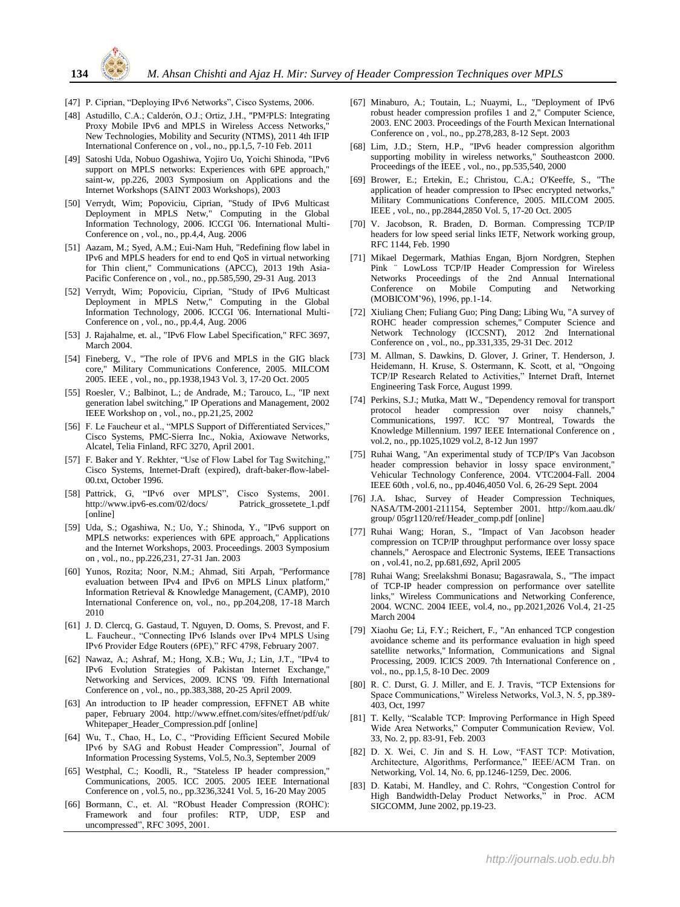

- [47] P. Ciprian, "Deploying IPv6 Networks", Cisco Systems, 2006.
- [48] Astudillo, C.A.; Calderón, O.J.; Ortiz, J.H., "PM<sup>2</sup>PLS: Integrating Proxy Mobile IPv6 and MPLS in Wireless Access Networks, New Technologies, Mobility and Security (NTMS), 2011 4th IFIP International Conference on , vol., no., pp.1,5, 7-10 Feb. 2011
- [49] Satoshi Uda, Nobuo Ogashiwa, Yojiro Uo, Yoichi Shinoda, "IPv6 support on MPLS networks: Experiences with 6PE approach," saint-w, pp.226, 2003 Symposium on Applications and the Internet Workshops (SAINT 2003 Workshops), 2003
- [50] Verrydt, Wim; Popoviciu, Ciprian, "Study of IPv6 Multicast Deployment in MPLS Netw," Computing in the Global Information Technology, 2006. ICCGI '06. International Multi-Conference on , vol., no., pp.4,4, Aug. 2006
- [51] Aazam, M.; Syed, A.M.; Eui-Nam Huh, "Redefining flow label in IPv6 and MPLS headers for end to end QoS in virtual networking for Thin client," Communications (APCC), 2013 19th Asia-Pacific Conference on , vol., no., pp.585,590, 29-31 Aug. 2013
- [52] Verrydt, Wim; Popoviciu, Ciprian, "Study of IPv6 Multicast Deployment in MPLS Netw," Computing in the Global Information Technology, 2006. ICCGI '06. International Multi-Conference on , vol., no., pp.4,4, Aug. 2006
- [53] J. Rajahalme, et. al., "IPv6 Flow Label Specification," RFC 3697, March 2004.
- [54] Fineberg, V., "The role of IPV6 and MPLS in the GIG black core," Military Communications Conference, 2005. MILCOM 2005. IEEE , vol., no., pp.1938,1943 Vol. 3, 17-20 Oct. 2005
- [55] Roesler, V.; Balbinot, L.; de Andrade, M.; Tarouco, L., "IP next generation label switching," IP Operations and Management, 2002 IEEE Workshop on , vol., no., pp.21,25, 2002
- [56] F. Le Faucheur et al., "MPLS Support of Differentiated Services," Cisco Systems, PMC-Sierra Inc., Nokia, Axiowave Networks, Alcatel, Telia Finland, RFC 3270, April 2001.
- [57] F. Baker and Y. Rekhter, "Use of Flow Label for Tag Switching," Cisco Systems, Internet-Draft (expired), draft-baker-flow-label-00.txt, October 1996.
- [58] Pattrick, G, "IPv6 over MPLS", Cisco Systems, 2001. http://www.ipv6-es.com/02/docs/ Patrick\_grossetete\_1.pdf [online]
- [59] Uda, S.; Ogashiwa, N.; Uo, Y.; Shinoda, Y., "IPv6 support on MPLS networks: experiences with 6PE approach," Applications and the Internet Workshops, 2003. Proceedings. 2003 Symposium on , vol., no., pp.226,231, 27-31 Jan. 2003
- [60] Yunos, Rozita; Noor, N.M.; Ahmad, Siti Arpah, "Performance evaluation between IPv4 and IPv6 on MPLS Linux platform," Information Retrieval & Knowledge Management, (CAMP), 2010 International Conference on, vol., no., pp.204,208, 17-18 March 2010
- [61] J. D. Clercq, G. Gastaud, T. Nguyen, D. Ooms, S. Prevost, and F. L. Faucheur., "Connecting IPv6 Islands over IPv4 MPLS Using IPv6 Provider Edge Routers (6PE)," RFC 4798, February 2007.
- [62] Nawaz, A.; Ashraf, M.; Hong, X.B.; Wu, J.; Lin, J.T., "IPv4 to IPv6 Evolution Strategies of Pakistan Internet Exchange, Networking and Services, 2009. ICNS '09. Fifth International Conference on , vol., no., pp.383,388, 20-25 April 2009.
- [63] An introduction to IP header compression, EFFNET AB white paper, February 2004. http://www.effnet.com/sites/effnet/pdf/uk/ Whitepaper\_Header\_Compression.pdf [online]
- [64] Wu, T., Chao, H., Lo, C., "Providing Efficient Secured Mobile IPv6 by SAG and Robust Header Compression", Journal of Information Processing Systems, Vol.5, No.3, September 2009
- [65] Westphal, C.; Koodli, R., "Stateless IP header compression," Communications, 2005. ICC 2005. 2005 IEEE International Conference on , vol.5, no., pp.3236,3241 Vol. 5, 16-20 May 2005
- [66] Bormann, C., et. Al. "RObust Header Compression (ROHC): Framework and four profiles: RTP, UDP, ESP and uncompressed", RFC 3095, 2001.
- [67] Minaburo, A.; Toutain, L.; Nuaymi, L., "Deployment of IPv6 robust header compression profiles 1 and 2," Computer Science, 2003. ENC 2003. Proceedings of the Fourth Mexican International Conference on , vol., no., pp.278,283, 8-12 Sept. 2003
- [68] Lim, J.D.; Stern, H.P., "IPv6 header compression algorithm supporting mobility in wireless networks," Southeastcon 2000. Proceedings of the IEEE , vol., no., pp.535,540, 2000
- [69] Brower, E.; Ertekin, E.; Christou, C.A.; O'Keeffe, S., "The application of header compression to IPsec encrypted networks," Military Communications Conference, 2005. MILCOM 2005. IEEE , vol., no., pp.2844,2850 Vol. 5, 17-20 Oct. 2005
- [70] V. Jacobson, R. Braden, D. Borman. Compressing TCP/IP headers for low speed serial links IETF, Network working group, RFC 1144, Feb. 1990
- [71] Mikael Degermark, Mathias Engan, Bjorn Nordgren, Stephen Pink ¨ LowLoss TCP/IP Header Compression for Wireless Networks Proceedings of the 2nd Annual International Conference on Mobile Computing and Networking (MOBICOM'96), 1996, pp.1-14.
- [72] Xiuliang Chen; Fuliang Guo; Ping Dang; Libing Wu, "A survey of ROHC header compression schemes," Computer Science and Network Technology (ICCSNT), 2012 2nd International Conference on , vol., no., pp.331,335, 29-31 Dec. 2012
- [73] M. Allman, S. Dawkins, D. Glover, J. Griner, T. Henderson, J. Heidemann, H. Kruse, S. Ostermann, K. Scott, et al, "Ongoing TCP/IP Research Related to Activities," Internet Draft, Internet Engineering Task Force, August 1999.
- [74] Perkins, S.J.; Mutka, Matt W., "Dependency removal for transport protocol header compression over noisy channels," Communications, 1997. ICC '97 Montreal, Towards the Knowledge Millennium. 1997 IEEE International Conference on , vol.2, no., pp.1025,1029 vol.2, 8-12 Jun 1997
- [75] Ruhai Wang, "An experimental study of TCP/IP's Van Jacobson header compression behavior in lossy space environment,' Vehicular Technology Conference, 2004. VTC2004-Fall. 2004 IEEE 60th , vol.6, no., pp.4046,4050 Vol. 6, 26-29 Sept. 2004
- [76] J.A. Ishac, Survey of Header Compression Techniques, NASA/TM-2001-211154, September 2001. http://kom.aau.dk/ group/ 05gr1120/ref/Header\_comp.pdf [online]
- [77] Ruhai Wang; Horan, S., "Impact of Van Jacobson header compression on TCP/IP throughput performance over lossy space channels," Aerospace and Electronic Systems, IEEE Transactions on , vol.41, no.2, pp.681,692, April 2005
- [78] Ruhai Wang; Sreelakshmi Bonasu; Bagasrawala, S., "The impact of TCP-IP header compression on performance over satellite links," Wireless Communications and Networking Conference, 2004. WCNC. 2004 IEEE, vol.4, no., pp.2021,2026 Vol.4, 21-25 March 2004
- [79] Xiaohu Ge; Li, F.Y.; Reichert, F., "An enhanced TCP congestion avoidance scheme and its performance evaluation in high speed satellite networks," Information, Communications and Signal Processing, 2009. ICICS 2009. 7th International Conference on , vol., no., pp.1,5, 8-10 Dec. 2009
- [80] R. C. Durst, G. J. Miller, and E. J. Travis, "TCP Extensions for Space Communications," Wireless Networks, Vol.3, N. 5, pp.389- 403, Oct, 1997
- [81] T. Kelly, "Scalable TCP: Improving Performance in High Speed Wide Area Networks," Computer Communication Review, Vol. 33, No. 2, pp. 83-91, Feb. 2003
- [82] D. X. Wei, C. Jin and S. H. Low, "FAST TCP: Motivation, Architecture, Algorithms, Performance," IEEE/ACM Tran. on Networking, Vol. 14, No. 6, pp.1246-1259, Dec. 2006.
- [83] D. Katabi, M. Handley, and C. Rohrs, "Congestion Control for High Bandwidth-Delay Product Networks," in Proc. ACM SIGCOMM, June 2002, pp.19-23.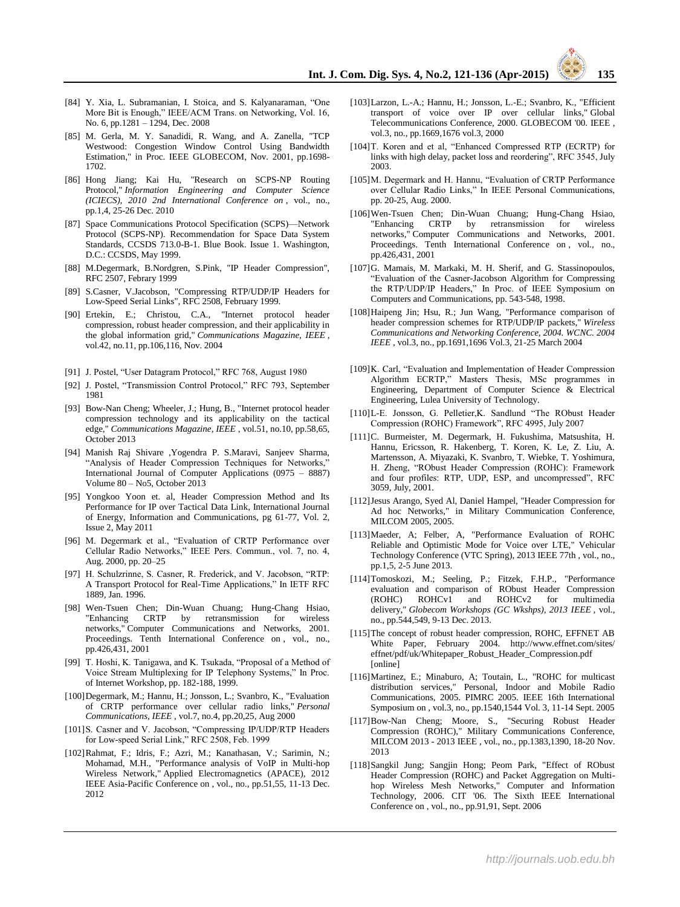- [84] Y. Xia, L. Subramanian, I. Stoica, and S. Kalyanaraman, "One More Bit is Enough," IEEE/ACM Trans. on Networking, Vol. 16, No. 6, pp.1281 – 1294, Dec. 2008
- [85] M. Gerla, M. Y. Sanadidi, R. Wang, and A. Zanella, "TCP Westwood: Congestion Window Control Using Bandwidth Estimation," in Proc. IEEE GLOBECOM, Nov. 2001, pp.1698- 1702.
- [86] Hong Jiang; Kai Hu, "Research on SCPS-NP Routing Protocol," *Information Engineering and Computer Science (ICIECS), 2010 2nd International Conference on* , vol., no., pp.1,4, 25-26 Dec. 2010
- [87] Space Communications Protocol Specification (SCPS)—Network Protocol (SCPS-NP). Recommendation for Space Data System Standards, CCSDS 713.0-B-1. Blue Book. Issue 1. Washington, D.C.: CCSDS, May 1999.
- [88] M.Degermark, B.Nordgren, S.Pink, "IP Header Compression", RFC 2507, Febrary 1999
- [89] S.Casner, V.Jacobson, "Compressing RTP/UDP/IP Headers for Low-Speed Serial Links", RFC 2508, February 1999.
- [90] Ertekin, E.; Christou, C.A., "Internet protocol header compression, robust header compression, and their applicability in the global information grid," *Communications Magazine, IEEE* , vol.42, no.11, pp.106,116, Nov. 2004
- [91] J. Postel, "User Datagram Protocol," RFC 768, August 1980
- [92] J. Postel, "Transmission Control Protocol," RFC 793, September 1981
- [93] Bow-Nan Cheng; Wheeler, J.; Hung, B., "Internet protocol header compression technology and its applicability on the tactical edge," *Communications Magazine, IEEE* , vol.51, no.10, pp.58,65, October 2013
- [94] Manish Raj Shivare ,Yogendra P. S.Maravi, Sanjeev Sharma, "Analysis of Header Compression Techniques for Networks," International Journal of Computer Applications (0975 – 8887) Volume 80 – No5, October 2013
- [95] Yongkoo Yoon et. al, Header Compression Method and Its Performance for IP over Tactical Data Link, International Journal of Energy, Information and Communications, pg 61-77, Vol. 2, Issue 2, May 2011
- [96] M. Degermark et al., "Evaluation of CRTP Performance over Cellular Radio Networks," IEEE Pers. Commun., vol. 7, no. 4, Aug. 2000, pp. 20–25
- [97] H. Schulzrinne, S. Casner, R. Frederick, and V. Jacobson, "RTP: A Transport Protocol for Real-Time Applications," In IETF RFC 1889, Jan. 1996.
- [98] Wen-Tsuen Chen; Din-Wuan Chuang; Hung-Chang Hsiao, "Enhancing CRTP by retransmission for wireless networks," Computer Communications and Networks, 2001. Proceedings. Tenth International Conference on , vol., no., pp.426,431, 2001
- [99] T. Hoshi, K. Tanigawa, and K. Tsukada, "Proposal of a Method of Voice Stream Multiplexing for IP Telephony Systems," In Proc. of Internet Workshop, pp. 182-188, 1999.
- [100]Degermark, M.; Hannu, H.; Jonsson, L.; Svanbro, K., "Evaluation of CRTP performance over cellular radio links," *Personal Communications, IEEE* , vol.7, no.4, pp.20,25, Aug 2000
- [101]S. Casner and V. Jacobson, "Compressing IP/UDP/RTP Headers for Low-speed Serial Link," RFC 2508, Feb. 1999
- [102]Rahmat, F.; Idris, F.; Azri, M.; Kanathasan, V.; Sarimin, N.; Mohamad, M.H., "Performance analysis of VoIP in Multi-hop Wireless Network," Applied Electromagnetics (APACE), 2012 IEEE Asia-Pacific Conference on , vol., no., pp.51,55, 11-13 Dec. 2012
- [103]Larzon, L.-A.; Hannu, H.; Jonsson, L.-E.; Svanbro, K., "Efficient transport of voice over IP over cellular links," Global Telecommunications Conference, 2000. GLOBECOM '00. IEEE , vol.3, no., pp.1669,1676 vol.3, 2000
- [104]T. Koren and et al, "Enhanced Compressed RTP (ECRTP) for links with high delay, packet loss and reordering", RFC 3545, July 2003.
- [105]M. Degermark and H. Hannu, "Evaluation of CRTP Performance over Cellular Radio Links," In IEEE Personal Communications, pp. 20-25, Aug. 2000.
- [106]Wen-Tsuen Chen; Din-Wuan Chuang; Hung-Chang Hsiao, "Enhancing CRTP by retransmission networks," Computer Communications and Networks, 2001. Proceedings. Tenth International Conference on , vol., no., pp.426,431, 2001
- [107]G. Mamais, M. Markaki, M. H. Sherif, and G. Stassinopoulos, "Evaluation of the Casner-Jacobson Algorithm for Compressing the RTP/UDP/IP Headers," In Proc. of IEEE Symposium on Computers and Communications, pp. 543-548, 1998.
- [108]Haipeng Jin; Hsu, R.; Jun Wang, "Performance comparison of header compression schemes for RTP/UDP/IP packets," *Wireless Communications and Networking Conference, 2004. WCNC. 2004 IEEE* , vol.3, no., pp.1691,1696 Vol.3, 21-25 March 2004
- [109]K. Carl, "Evaluation and Implementation of Header Compression Algorithm ECRTP," Masters Thesis, MSc programmes in Engineering, Department of Computer Science & Electrical Engineering, Lulea University of Technology.
- [110]L-E. Jonsson, G. Pelletier,K. Sandlund "The RObust Header Compression (ROHC) Framework", RFC 4995, July 2007
- [111]C. Burmeister, M. Degermark, H. Fukushima, Matsushita, H. Hannu, Ericsson, R. Hakenberg, T. Koren, K. Le, Z. Liu, A. Martensson, A. Miyazaki, K. Svanbro, T. Wiebke, T. Yoshimura, H. Zheng, "RObust Header Compression (ROHC): Framework and four profiles: RTP, UDP, ESP, and uncompressed", RFC 3059, July, 2001.
- [112]Jesus Arango, Syed Al, Daniel Hampel, "Header Compression for Ad hoc Networks," in Military Communication Conference, MILCOM 2005, 2005.
- [113]Maeder, A; Felber, A, "Performance Evaluation of ROHC Reliable and Optimistic Mode for Voice over LTE," Vehicular Technology Conference (VTC Spring), 2013 IEEE 77th , vol., no., pp.1,5, 2-5 June 2013.
- [114]Tomoskozi, M.; Seeling, P.; Fitzek, F.H.P., "Performance evaluation and comparison of RObust Header Compression (ROHC) ROHCv1 and ROHCv2 for multimedia delivery," *Globecom Workshops (GC Wkshps), 2013 IEEE* , vol., no., pp.544,549, 9-13 Dec. 2013.
- [115]The concept of robust header compression, ROHC, EFFNET AB White Paper, February 2004. http://www.effnet.com/sites/ effnet/pdf/uk/Whitepaper\_Robust\_Header\_Compression.pdf [online]
- [116]Martinez, E.; Minaburo, A; Toutain, L., "ROHC for multicast distribution services," Personal, Indoor and Mobile Radio Communications, 2005. PIMRC 2005. IEEE 16th International Symposium on , vol.3, no., pp.1540,1544 Vol. 3, 11-14 Sept. 2005
- [117]Bow-Nan Cheng; Moore, S., "Securing Robust Header Compression (ROHC)," Military Communications Conference, MILCOM 2013 - 2013 IEEE , vol., no., pp.1383,1390, 18-20 Nov. 2013
- [118]Sangkil Jung; Sangjin Hong; Peom Park, "Effect of RObust Header Compression (ROHC) and Packet Aggregation on Multihop Wireless Mesh Networks," Computer and Information Technology, 2006. CIT '06. The Sixth IEEE International Conference on , vol., no., pp.91,91, Sept. 2006